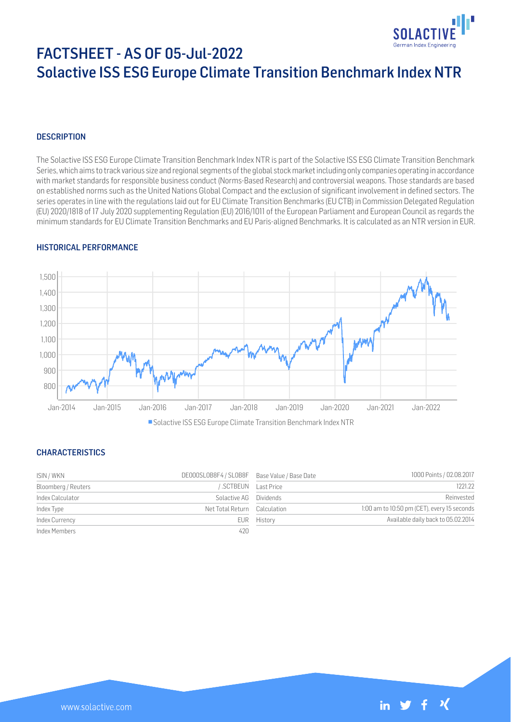

# FACTSHEET - AS OF 05-Jul-2022 Solactive ISS ESG Europe Climate Transition Benchmark Index NTR

## **DESCRIPTION**

The Solactive ISS ESG Europe Climate Transition Benchmark Index NTR is part of the Solactive ISS ESG Climate Transition Benchmark Series, which aims to track various size and regional segments of the global stock market including only companies operating in accordance with market standards for responsible business conduct (Norms-Based Research) and controversial weapons. Those standards are based on established norms such as the United Nations Global Compact and the exclusion of significant involvement in defined sectors. The series operates in line with the regulations laid out for EU Climate Transition Benchmarks (EU CTB) in Commission Delegated Regulation (EU) 2020/1818 of 17 July 2020 supplementing Regulation (EU) 2016/1011 of the European Parliament and European Council as regards the minimum standards for EU Climate Transition Benchmarks and EU Paris-aligned Benchmarks. It is calculated as an NTR version in EUR.

#### HISTORICAL PERFORMANCE



#### CHARACTERISTICS

| ISIN / WKN          | DE000SL0B8F4 / SL0B8F Base Value / Base Date |                    | 1000 Points / 02.08.2017                    |
|---------------------|----------------------------------------------|--------------------|---------------------------------------------|
| Bloomberg / Reuters |                                              | SCTBEUN Last Price | 1221.22                                     |
| Index Calculator    | Solactive AG Dividends                       |                    | Reinvested                                  |
| Index Type          | Net Total Return Calculation                 |                    | 1:00 am to 10:50 pm (CET), every 15 seconds |
| Index Currency      |                                              | EUR History        | Available daily back to 05.02.2014          |
| Index Members       | 420                                          |                    |                                             |

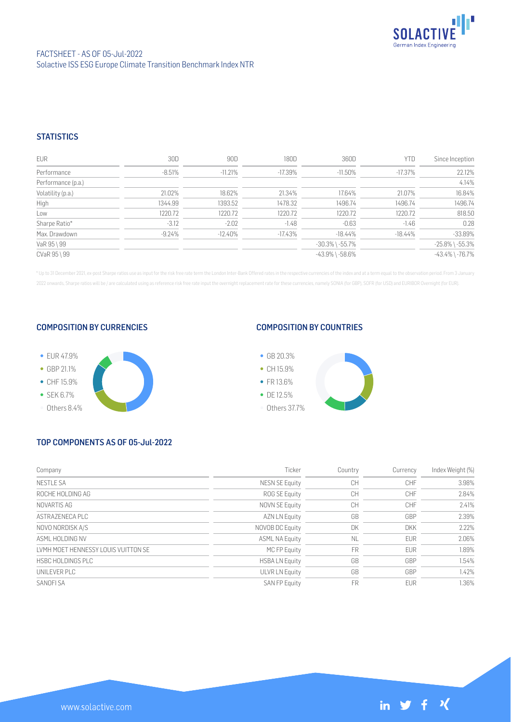

### **STATISTICS**

| <b>EUR</b>         | 30D       | 90D       | 180D      | 360D                  | YTD        | Since Inception       |
|--------------------|-----------|-----------|-----------|-----------------------|------------|-----------------------|
| Performance        | $-8.51%$  | $-11.21%$ | $-17.39%$ | $-11.50\%$            | $-17.37\%$ | 22.12%                |
| Performance (p.a.) |           |           |           |                       |            | 4.14%                 |
| Volatility (p.a.)  | 21.02%    | 18.62%    | 21.34%    | 17.64%                | 21.07%     | 16.84%                |
| High               | 1344.99   | 1393.52   | 1478.32   | 1496.74               | 1496.74    | 1496.74               |
| Low                | 1220.72   | 1220.72   | 1220.72   | 1220.72               | 1220.72    | 818.50                |
| Sharpe Ratio*      | $-3.12$   | $-2.02$   | $-1.48$   | $-0.63$               | $-1.46$    | 0.28                  |
| Max. Drawdown      | $-9.24\%$ | $-12.40%$ | $-17.43%$ | $-18.44\%$            | -18.44%    | $-33.89%$             |
| VaR 95 \ 99        |           |           |           | $-30.3\%$ \ $-55.7\%$ |            | $-25.8\%$ \ $-55.3\%$ |
| CVaR 95 \ 99       |           |           |           | $-43.9\%$ \ $-58.6\%$ |            | $-43.4\%$ \ $-76.7\%$ |

\* Up to 31 December 2021, ex-post Sharpe ratios use as input for the risk free rate term the London Inter-Bank Offered rates in the respective currencies of the index and at a term equal to the observation period. From 3 J 2022 onwards, Sharpe ratios will be / are calculated using as reference risk free rate input the overnight replacement rate for these currencies, namely SONIA (for GBP), SOFR (for USD) and EURIBOR Overnight (for EUR).

#### COMPOSITION BY CURRENCIES



### COMPOSITION BY COUNTRIES



## TOP COMPONENTS AS OF 05-Jul-2022

| Company                             | Ticker                | Country   | Currency   | Index Weight (%) |
|-------------------------------------|-----------------------|-----------|------------|------------------|
| <b>NESTLE SA</b>                    | NESN SE Equity        | CH        | <b>CHF</b> | 3.98%            |
| ROCHE HOLDING AG                    | ROG SE Equity         | CH        | CHF        | 2.84%            |
| NOVARTIS AG                         | NOVN SE Equity        | CH        | <b>CHF</b> | 2.41%            |
| ASTRAZENECA PLC                     | AZN LN Equity         | GB        | GBP        | 2.39%            |
| NOVO NORDISK A/S                    | NOVOB DC Equity       | DK        | <b>DKK</b> | 2.22%            |
| ASMI HOI DING NV                    | <b>ASML NA Equity</b> | <b>NL</b> | <b>EUR</b> | 2.06%            |
| LVMH MOET HENNESSY LOUIS VUITTON SE | MC FP Equity          | <b>FR</b> | <b>EUR</b> | 1.89%            |
| HSBC HOLDINGS PLC                   | <b>HSBALN</b> Equity  | GB        | GBP        | 1.54%            |
| UNILEVER PLC                        | <b>ULVR LN Equity</b> | GB        | GBP        | 1.42%            |
| SANOFI SA                           | <b>SAN FP Equity</b>  | FR        | <b>EUR</b> | 1.36%            |